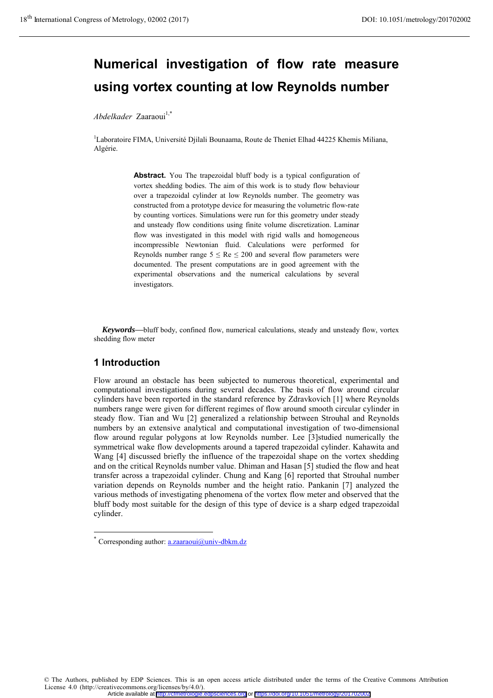# **Numerical investigation of flow rate measure using vortex counting at low Reynolds number**

*Abdelkader Zaaraoui*<sup>1,\*</sup>

<sup>1</sup>Laboratoire FIMA, Université Djilali Bounaama, Route de Theniet Elhad 44225 Khemis Miliana, Algérie.

> **Abstract.** You The trapezoidal bluff body is a typical configuration of vortex shedding bodies. The aim of this work is to study flow behaviour over a trapezoidal cylinder at low Reynolds number. The geometry was constructed from a prototype device for measuring the volumetric flow-rate by counting vortices. Simulations were run for this geometry under steady and unsteady flow conditions using finite volume discretization. Laminar flow was investigated in this model with rigid walls and homogeneous incompressible Newtonian fluid. Calculations were performed for Reynolds number range  $5 \leq Re \leq 200$  and several flow parameters were documented. The present computations are in good agreement with the experimental observations and the numerical calculations by several investigators.

*Keywords***—**bluff body, confined flow, numerical calculations, steady and unsteady flow, vortex shedding flow meter

# **1 Introduction**

 $\overline{a}$ 

Flow around an obstacle has been subjected to numerous theoretical, experimental and computational investigations during several decades. The basis of flow around circular cylinders have been reported in the standard reference by Zdravkovich [1] where Reynolds numbers range were given for different regimes of flow around smooth circular cylinder in steady flow. Tian and Wu [2] generalized a relationship between Strouhal and Reynolds numbers by an extensive analytical and computational investigation of two-dimensional flow around regular polygons at low Reynolds number. Lee [3] studied numerically the symmetrical wake flow developments around a tapered trapezoidal cylinder. Kahawita and Wang [4] discussed briefly the influence of the trapezoidal shape on the vortex shedding and on the critical Reynolds number value. Dhiman and Hasan [5] studied the flow and heat transfer across a trapezoidal cylinder. Chung and Kang [6] reported that Strouhal number variation depends on Reynolds number and the height ratio. Pankanin [7] analyzed the various methods of investigating phenomena of the vortex flow meter and observed that the bluff body most suitable for the design of this type of device is a sharp edged trapezoidal cylinder.

© The Authors, published by EDP Sciences. This is an open access article distributed under the terms of the Creative Commons Attribution License 4.0 (http://creativecommons.org/licenses/by/4.0/). Article available at <http://cfmetrologie.edpsciences.org> or <https://doi.org/10.1051/metrology/201702002>

<sup>\*</sup> Corresponding author:  $a$ .zaaraoui@univ-dbkm.dz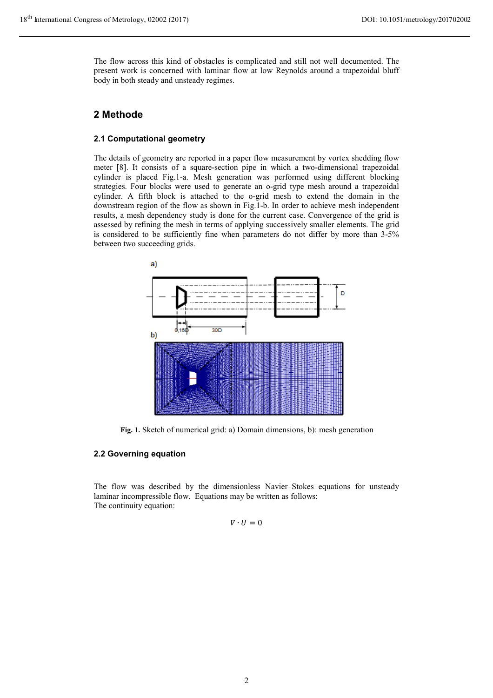The flow across this kind of obstacles is complicated and still not well documented. The present work is concerned with laminar flow at low Reynolds around a trapezoidal bluff body in both steady and unsteady regimes.

## **2 Methode**

#### **2.1 Computational geometry**

The details of geometry are reported in a paper flow measurement by vortex shedding flow meter [8]. It consists of a square-section pipe in which a two-dimensional trapezoidal cylinder is placed Fig.1-a. Mesh generation was performed using different blocking strategies. Four blocks were used to generate an o-grid type mesh around a trapezoidal cylinder. A fifth block is attached to the o-grid mesh to extend the domain in the downstream region of the flow as shown in Fig.1-b. In order to achieve mesh independent results, a mesh dependency study is done for the current case. Convergence of the grid is assessed by refining the mesh in terms of applying successively smaller elements. The grid is considered to be sufficiently fine when parameters do not differ by more than 3-5% between two succeeding grids.



**Fig. 1.** Sketch of numerical grid: a) Domain dimensions, b): mesh generation

#### **2.2 Governing equation**

The flow was described by the dimensionless Navier–Stokes equations for unsteady laminar incompressible flow. Equations may be written as follows: The continuity equation:

$$
\nabla \cdot U = 0
$$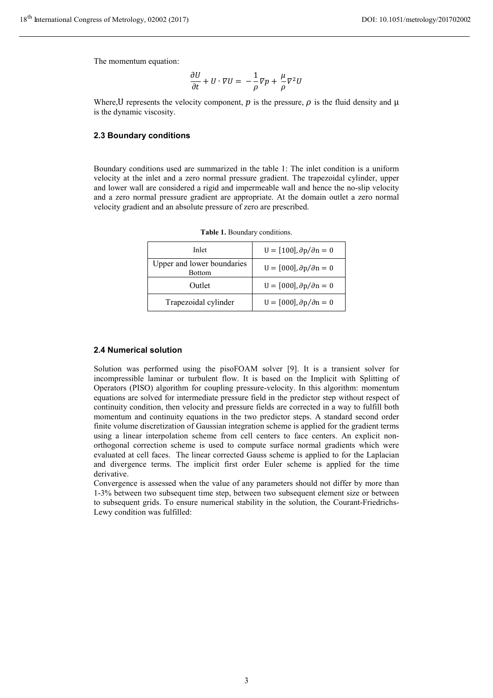The momentum equation:

$$
\frac{\partial U}{\partial t} + U \cdot \nabla U = -\frac{1}{\rho} \nabla p + \frac{\mu}{\rho} \nabla^2 U
$$

Where, U represents the velocity component,  $p$  is the pressure,  $\rho$  is the fluid density and  $\mu$ is the dynamic viscosity.

#### **2.3 Boundary conditions**

Boundary conditions used are summarized in the table 1: The inlet condition is a uniform velocity at the inlet and a zero normal pressure gradient. The trapezoidal cylinder, upper and lower wall are considered a rigid and impermeable wall and hence the no-slip velocity and a zero normal pressure gradient are appropriate. At the domain outlet a zero normal velocity gradient and an absolute pressure of zero are prescribed.

| Inlet                                       | $U = [100], \partial p / \partial n = 0$ |
|---------------------------------------------|------------------------------------------|
| Upper and lower boundaries<br><b>Bottom</b> | $U = [000], \partial p / \partial n = 0$ |
| Outlet                                      | $U = [000], \partial p / \partial n = 0$ |
| Trapezoidal cylinder                        | $U = [000], \partial p / \partial n = 0$ |

**Table 1.** Boundary conditions.

#### **2.4 Numerical solution**

Solution was performed using the pisoFOAM solver [9]. It is a transient solver for incompressible laminar or turbulent flow. It is based on the Implicit with Splitting of Operators (PISO) algorithm for coupling pressure-velocity. In this algorithm: momentum equations are solved for intermediate pressure field in the predictor step without respect of continuity condition, then velocity and pressure fields are corrected in a way to fulfill both momentum and continuity equations in the two predictor steps. A standard second order finite volume discretization of Gaussian integration scheme is applied for the gradient terms using a linear interpolation scheme from cell centers to face centers. An explicit nonorthogonal correction scheme is used to compute surface normal gradients which were evaluated at cell faces. The linear corrected Gauss scheme is applied to for the Laplacian and divergence terms. The implicit first order Euler scheme is applied for the time derivative.

Convergence is assessed when the value of any parameters should not differ by more than 1-3% between two subsequent time step, between two subsequent element size or between to subsequent grids. To ensure numerical stability in the solution, the Courant-Friedrichs-Lewy condition was fulfilled: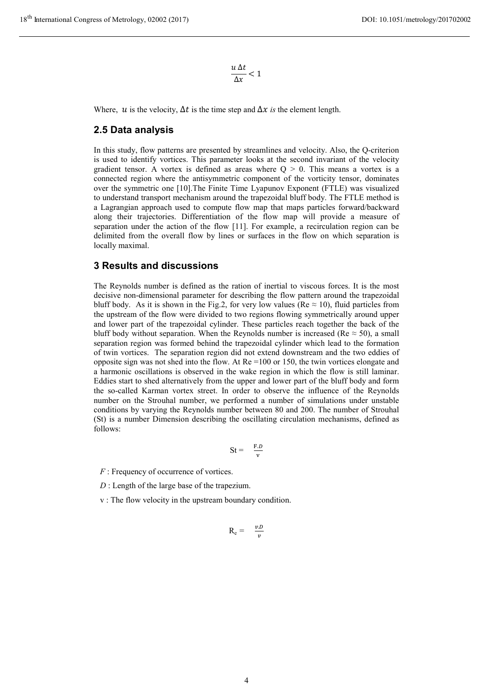$$
\frac{u\,\Delta t}{\Delta x}<1
$$

Where,  $u$  is the velocity,  $\Delta t$  is the time step and  $\Delta x$  *is* the element length.

#### **2.5 Data analysis**

In this study, flow patterns are presented by streamlines and velocity. Also, the Q-criterion is used to identify vortices. This parameter looks at the second invariant of the velocity gradient tensor. A vortex is defined as areas where  $Q > 0$ . This means a vortex is a connected region where the antisymmetric component of the vorticity tensor, dominates over the symmetric one [10].The Finite Time Lyapunov Exponent (FTLE) was visualized to understand transport mechanism around the trapezoidal bluff body. The FTLE method is a Lagrangian approach used to compute flow map that maps particles forward/backward along their trajectories. Differentiation of the flow map will provide a measure of separation under the action of the flow [11]. For example, a recirculation region can be delimited from the overall flow by lines or surfaces in the flow on which separation is locally maximal.

#### **3 Results and discussions**

The Reynolds number is defined as the ration of inertial to viscous forces. It is the most decisive non-dimensional parameter for describing the flow pattern around the trapezoidal bluff body. As it is shown in the Fig.2, for very low values (Re  $\approx$  10), fluid particles from the upstream of the flow were divided to two regions flowing symmetrically around upper and lower part of the trapezoidal cylinder. These particles reach together the back of the bluff body without separation. When the Reynolds number is increased (Re  $\approx$  50), a small separation region was formed behind the trapezoidal cylinder which lead to the formation of twin vortices. The separation region did not extend downstream and the two eddies of opposite sign was not shed into the flow. At Re =100 or 150, the twin vortices elongate and a harmonic oscillations is observed in the wake region in which the flow is still laminar. Eddies start to shed alternatively from the upper and lower part of the bluff body and form the so-called Karman vortex street. In order to observe the influence of the Reynolds number on the Strouhal number, we performed a number of simulations under unstable conditions by varying the Reynolds number between 80 and 200. The number of Strouhal (St) is a number Dimension describing the oscillating circulation mechanisms, defined as follows:

$$
St = \frac{F.D}{v}
$$

*F* : Frequency of occurrence of vortices.

 *D* : Length of the large base of the trapezium.

v : The flow velocity in the upstream boundary condition.

$$
R_e = \frac{v.D}{v}
$$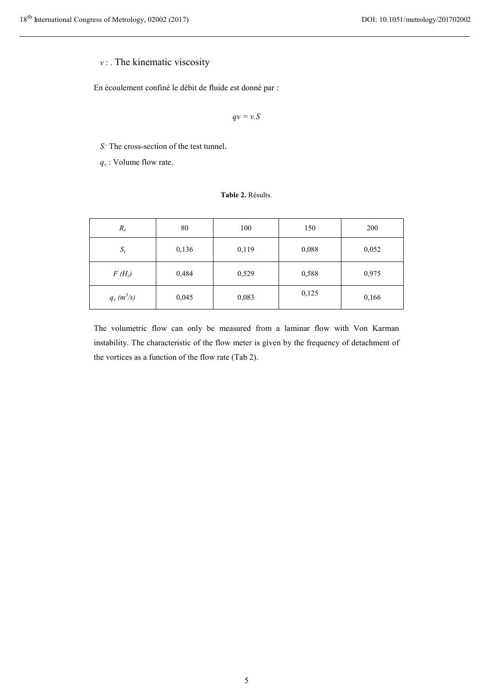# *v* : . The kinematic viscosity

En écoulement confiné le débit de fluide est donné par :

*qv = v.S*

*S:* The cross-section of the test tunnel.

 $q_v$ : Volume flow rate.

**Table 2.** Résults.

| $R_e$        | 80    | 100   | 150   | 200   |
|--------------|-------|-------|-------|-------|
| $S_t$        | 0,136 | 0,119 | 0,088 | 0,052 |
| $F(H_z)$     | 0,484 | 0,529 | 0,588 | 0,975 |
| $q_v(m^3/s)$ | 0,045 | 0,083 | 0,125 | 0,166 |

The volumetric flow can only be measured from a laminar flow with Von Karman instability. The characteristic of the flow meter is given by the frequency of detachment of the vortices as a function of the flow rate (Tab 2).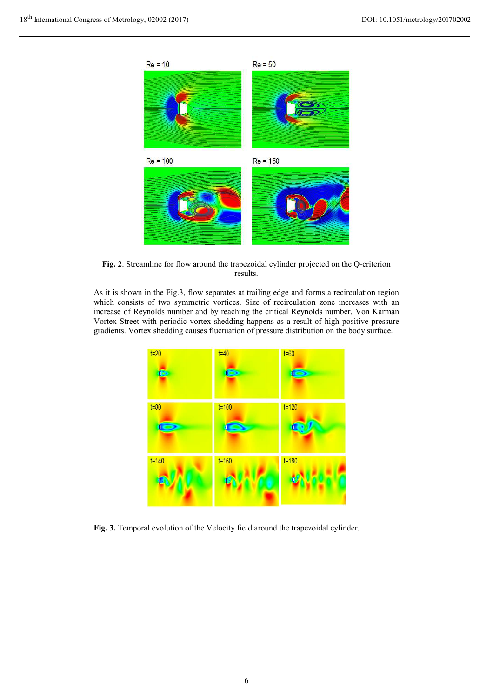

**Fig. 2**. Streamline for flow around the trapezoidal cylinder projected on the Q-criterion results.

As it is shown in the Fig.3, flow separates at trailing edge and forms a recirculation region which consists of two symmetric vortices. Size of recirculation zone increases with an increase of Reynolds number and by reaching the critical Reynolds number, Von Kármán Vortex Street with periodic vortex shedding happens as a result of high positive pressure gradients. Vortex shedding causes fluctuation of pressure distribution on the body surface.



**Fig. 3.** Temporal evolution of the Velocity field around the trapezoidal cylinder.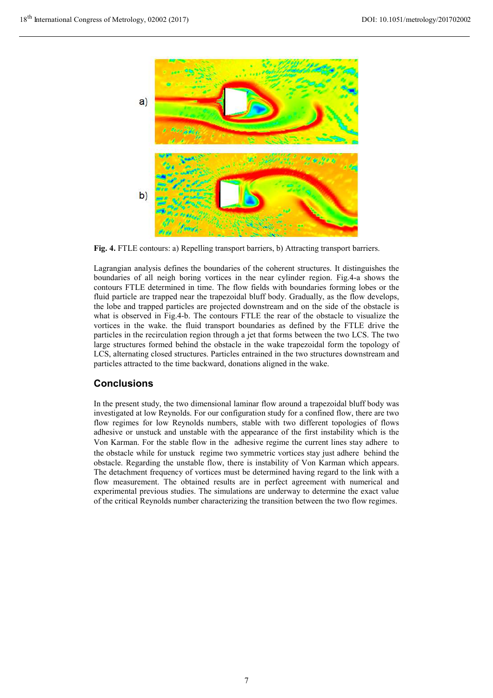

**Fig. 4.** FTLE contours: a) Repelling transport barriers, b) Attracting transport barriers.

Lagrangian analysis defines the boundaries of the coherent structures. It distinguishes the boundaries of all neigh boring vortices in the near cylinder region. Fig.4-a shows the contours FTLE determined in time. The flow fields with boundaries forming lobes or the fluid particle are trapped near the trapezoidal bluff body. Gradually, as the flow develops, the lobe and trapped particles are projected downstream and on the side of the obstacle is what is observed in Fig.4-b. The contours FTLE the rear of the obstacle to visualize the vortices in the wake. the fluid transport boundaries as defined by the FTLE drive the particles in the recirculation region through a jet that forms between the two LCS. The two large structures formed behind the obstacle in the wake trapezoidal form the topology of LCS, alternating closed structures. Particles entrained in the two structures downstream and particles attracted to the time backward, donations aligned in the wake.

# **Conclusions**

In the present study, the two dimensional laminar flow around a trapezoidal bluff body was investigated at low Reynolds. For our configuration study for a confined flow, there are two flow regimes for low Reynolds numbers, stable with two different topologies of flows adhesive or unstuck and unstable with the appearance of the first instability which is the Von Karman. For the stable flow in the adhesive regime the current lines stay adhere to the obstacle while for unstuck regime two symmetric vortices stay just adhere behind the obstacle. Regarding the unstable flow, there is instability of Von Karman which appears. The detachment frequency of vortices must be determined having regard to the link with a flow measurement. The obtained results are in perfect agreement with numerical and experimental previous studies. The simulations are underway to determine the exact value of the critical Reynolds number characterizing the transition between the two flow regimes.